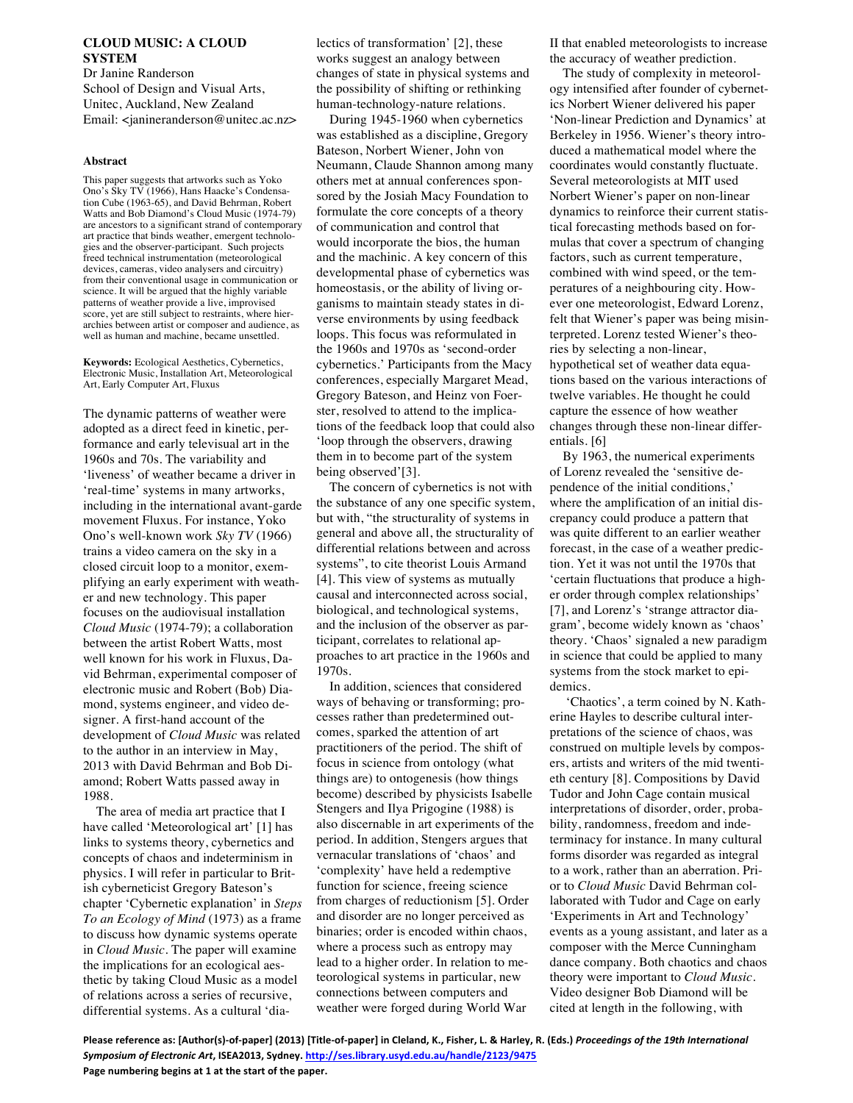## **CLOUD MUSIC: A CLOUD SYSTEM**

Dr Janine Randerson School of Design and Visual Arts, Unitec, Auckland, New Zealand Email: <janineranderson@unitec.ac.nz>

### **Abstract**

This paper suggests that artworks such as Yoko Ono's Sky TV (1966), Hans Haacke's Condensation Cube (1963-65), and David Behrman, Robert Watts and Bob Diamond's Cloud Music (1974-79) are ancestors to a significant strand of contemporary art practice that binds weather, emergent technologies and the observer-participant. Such projects freed technical instrumentation (meteorological devices, cameras, video analysers and circuitry) from their conventional usage in communication or science. It will be argued that the highly variable patterns of weather provide a live, improvised score, yet are still subject to restraints, where hierarchies between artist or composer and audience, as well as human and machine, became unsettled.

**Keywords:** Ecological Aesthetics, Cybernetics, Electronic Music, Installation Art, Meteorological Art, Early Computer Art, Fluxus

The dynamic patterns of weather were adopted as a direct feed in kinetic, performance and early televisual art in the 1960s and 70s. The variability and 'liveness' of weather became a driver in 'real-time' systems in many artworks, including in the international avant-garde movement Fluxus. For instance, Yoko Ono's well-known work *Sky TV* (1966) trains a video camera on the sky in a closed circuit loop to a monitor, exemplifying an early experiment with weather and new technology. This paper focuses on the audiovisual installation *Cloud Music* (1974-79); a collaboration between the artist Robert Watts, most well known for his work in Fluxus, David Behrman, experimental composer of electronic music and Robert (Bob) Diamond, systems engineer, and video designer. A first-hand account of the development of *Cloud Music* was related to the author in an interview in May, 2013 with David Behrman and Bob Diamond; Robert Watts passed away in 1988.

The area of media art practice that I have called 'Meteorological art' [1] has links to systems theory, cybernetics and concepts of chaos and indeterminism in physics. I will refer in particular to British cyberneticist Gregory Bateson's chapter 'Cybernetic explanation' in *Steps To an Ecology of Mind* (1973) as a frame to discuss how dynamic systems operate in *Cloud Music*. The paper will examine the implications for an ecological aesthetic by taking Cloud Music as a model of relations across a series of recursive, differential systems. As a cultural 'dialectics of transformation' [2], these works suggest an analogy between changes of state in physical systems and the possibility of shifting or rethinking human-technology-nature relations.

During 1945-1960 when cybernetics was established as a discipline, Gregory Bateson, Norbert Wiener, John von Neumann, Claude Shannon among many others met at annual conferences sponsored by the Josiah Macy Foundation to formulate the core concepts of a theory of communication and control that would incorporate the bios, the human and the machinic. A key concern of this developmental phase of cybernetics was homeostasis, or the ability of living organisms to maintain steady states in diverse environments by using feedback loops. This focus was reformulated in the 1960s and 1970s as 'second-order cybernetics.' Participants from the Macy conferences, especially Margaret Mead, Gregory Bateson, and Heinz von Foerster, resolved to attend to the implications of the feedback loop that could also 'loop through the observers, drawing them in to become part of the system being observed'[3].

The concern of cybernetics is not with the substance of any one specific system, but with, "the structurality of systems in general and above all, the structurality of differential relations between and across systems", to cite theorist Louis Armand [4]. This view of systems as mutually causal and interconnected across social, biological, and technological systems, and the inclusion of the observer as participant, correlates to relational approaches to art practice in the 1960s and 1970s.

In addition, sciences that considered ways of behaving or transforming; processes rather than predetermined outcomes, sparked the attention of art practitioners of the period. The shift of focus in science from ontology (what things are) to ontogenesis (how things become) described by physicists Isabelle Stengers and Ilya Prigogine (1988) is also discernable in art experiments of the period. In addition, Stengers argues that vernacular translations of 'chaos' and 'complexity' have held a redemptive function for science, freeing science from charges of reductionism [5]. Order and disorder are no longer perceived as binaries; order is encoded within chaos, where a process such as entropy may lead to a higher order. In relation to meteorological systems in particular, new connections between computers and weather were forged during World War

II that enabled meteorologists to increase the accuracy of weather prediction.

The study of complexity in meteorology intensified after founder of cybernetics Norbert Wiener delivered his paper 'Non-linear Prediction and Dynamics' at Berkeley in 1956. Wiener's theory introduced a mathematical model where the coordinates would constantly fluctuate. Several meteorologists at MIT used Norbert Wiener's paper on non-linear dynamics to reinforce their current statistical forecasting methods based on formulas that cover a spectrum of changing factors, such as current temperature, combined with wind speed, or the temperatures of a neighbouring city. However one meteorologist, Edward Lorenz, felt that Wiener's paper was being misinterpreted. Lorenz tested Wiener's theories by selecting a non-linear, hypothetical set of weather data equations based on the various interactions of twelve variables. He thought he could capture the essence of how weather changes through these non-linear differentials. [6]

By 1963, the numerical experiments of Lorenz revealed the 'sensitive dependence of the initial conditions,' where the amplification of an initial discrepancy could produce a pattern that was quite different to an earlier weather forecast, in the case of a weather prediction. Yet it was not until the 1970s that 'certain fluctuations that produce a higher order through complex relationships' [7], and Lorenz's 'strange attractor diagram', become widely known as 'chaos' theory. 'Chaos' signaled a new paradigm in science that could be applied to many systems from the stock market to epidemics.

'Chaotics', a term coined by N. Katherine Hayles to describe cultural interpretations of the science of chaos, was construed on multiple levels by composers, artists and writers of the mid twentieth century [8]. Compositions by David Tudor and John Cage contain musical interpretations of disorder, order, probability, randomness, freedom and indeterminacy for instance. In many cultural forms disorder was regarded as integral to a work, rather than an aberration. Prior to *Cloud Music* David Behrman collaborated with Tudor and Cage on early 'Experiments in Art and Technology' events as a young assistant, and later as a composer with the Merce Cunningham dance company. Both chaotics and chaos theory were important to *Cloud Music*. Video designer Bob Diamond will be cited at length in the following, with

Please reference as: [Author(s)-of-paper] (2013) [Title-of-paper] in Cleland, K., Fisher, L. & Harley, R. (Eds.) Proceedings of the 19th International *Symposium of Electronic Art***, ISEA2013, Sydney. http://ses.library.usyd.edu.au/handle/2123/9475** Page numbering begins at 1 at the start of the paper.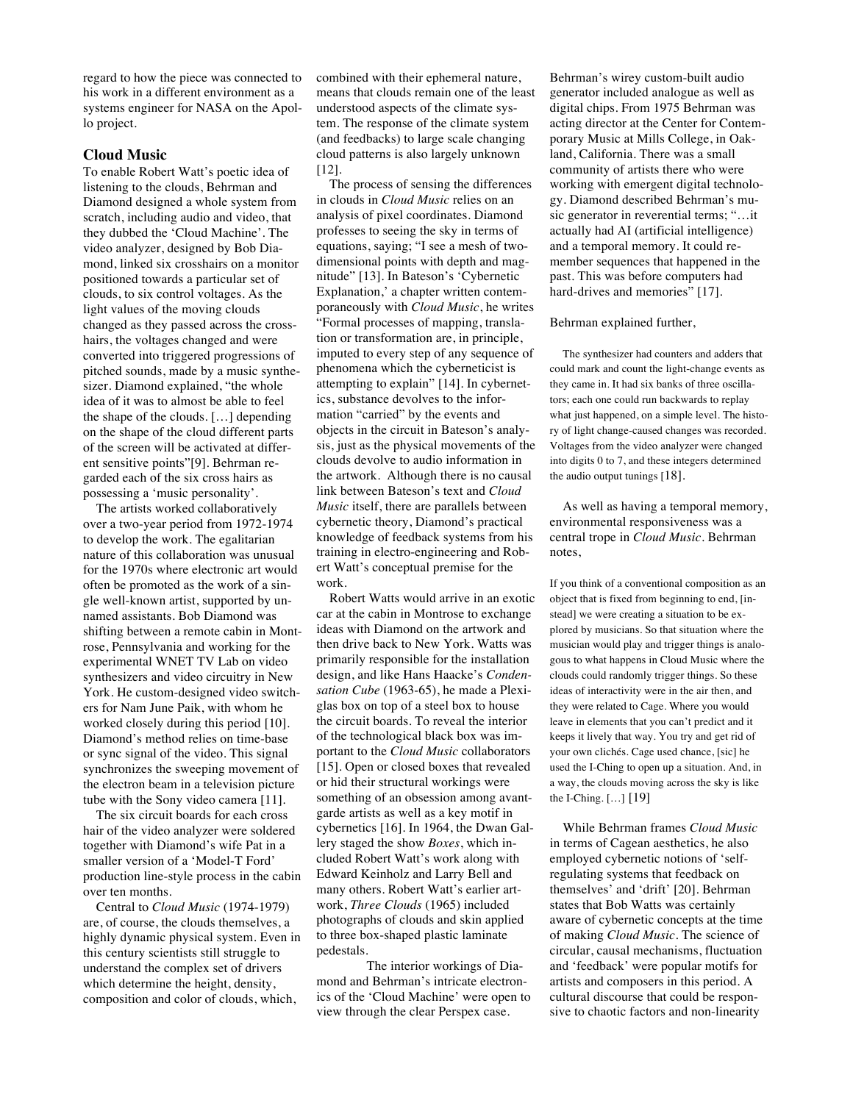regard to how the piece was connected to his work in a different environment as a systems engineer for NASA on the Apollo project.

# **Cloud Music**

To enable Robert Watt's poetic idea of listening to the clouds, Behrman and Diamond designed a whole system from scratch, including audio and video, that they dubbed the 'Cloud Machine'. The video analyzer, designed by Bob Diamond, linked six crosshairs on a monitor positioned towards a particular set of clouds, to six control voltages. As the light values of the moving clouds changed as they passed across the crosshairs, the voltages changed and were converted into triggered progressions of pitched sounds, made by a music synthesizer. Diamond explained, "the whole idea of it was to almost be able to feel the shape of the clouds. […] depending on the shape of the cloud different parts of the screen will be activated at different sensitive points"[9]. Behrman regarded each of the six cross hairs as possessing a 'music personality'.

The artists worked collaboratively over a two-year period from 1972-1974 to develop the work. The egalitarian nature of this collaboration was unusual for the 1970s where electronic art would often be promoted as the work of a single well-known artist, supported by unnamed assistants. Bob Diamond was shifting between a remote cabin in Montrose, Pennsylvania and working for the experimental WNET TV Lab on video synthesizers and video circuitry in New York. He custom-designed video switchers for Nam June Paik, with whom he worked closely during this period [10]. Diamond's method relies on time-base or sync signal of the video. This signal synchronizes the sweeping movement of the electron beam in a television picture tube with the Sony video camera [11].

The six circuit boards for each cross hair of the video analyzer were soldered together with Diamond's wife Pat in a smaller version of a 'Model-T Ford' production line-style process in the cabin over ten months.

Central to *Cloud Music* (1974-1979) are, of course, the clouds themselves, a highly dynamic physical system. Even in this century scientists still struggle to understand the complex set of drivers which determine the height, density, composition and color of clouds, which,

combined with their ephemeral nature, means that clouds remain one of the least understood aspects of the climate system. The response of the climate system (and feedbacks) to large scale changing cloud patterns is also largely unknown [12].

The process of sensing the differences in clouds in *Cloud Music* relies on an analysis of pixel coordinates. Diamond professes to seeing the sky in terms of equations, saying; "I see a mesh of twodimensional points with depth and magnitude" [13]. In Bateson's 'Cybernetic Explanation,' a chapter written contemporaneously with *Cloud Music*, he writes "Formal processes of mapping, translation or transformation are, in principle, imputed to every step of any sequence of phenomena which the cyberneticist is attempting to explain" [14]. In cybernetics, substance devolves to the information "carried" by the events and objects in the circuit in Bateson's analysis, just as the physical movements of the clouds devolve to audio information in the artwork. Although there is no causal link between Bateson's text and *Cloud Music* itself, there are parallels between cybernetic theory, Diamond's practical knowledge of feedback systems from his training in electro-engineering and Robert Watt's conceptual premise for the work.

Robert Watts would arrive in an exotic car at the cabin in Montrose to exchange ideas with Diamond on the artwork and then drive back to New York. Watts was primarily responsible for the installation design, and like Hans Haacke's *Condensation Cube* (1963-65), he made a Plexiglas box on top of a steel box to house the circuit boards. To reveal the interior of the technological black box was important to the *Cloud Music* collaborators [15]. Open or closed boxes that revealed or hid their structural workings were something of an obsession among avantgarde artists as well as a key motif in cybernetics [16]. In 1964, the Dwan Gallery staged the show *Boxes*, which included Robert Watt's work along with Edward Keinholz and Larry Bell and many others. Robert Watt's earlier artwork, *Three Clouds* (1965) included photographs of clouds and skin applied to three box-shaped plastic laminate pedestals.

The interior workings of Diamond and Behrman's intricate electronics of the 'Cloud Machine' were open to view through the clear Perspex case.

Behrman's wirey custom-built audio generator included analogue as well as digital chips. From 1975 Behrman was acting director at the Center for Contemporary Music at Mills College, in Oakland, California. There was a small community of artists there who were working with emergent digital technology. Diamond described Behrman's music generator in reverential terms; "…it actually had AI (artificial intelligence) and a temporal memory. It could remember sequences that happened in the past. This was before computers had hard-drives and memories" [17].

#### Behrman explained further,

The synthesizer had counters and adders that could mark and count the light-change events as they came in. It had six banks of three oscillators; each one could run backwards to replay what just happened, on a simple level. The history of light change-caused changes was recorded. Voltages from the video analyzer were changed into digits 0 to 7, and these integers determined the audio output tunings [18].

As well as having a temporal memory, environmental responsiveness was a central trope in *Cloud Music*. Behrman notes,

If you think of a conventional composition as an object that is fixed from beginning to end, [instead] we were creating a situation to be explored by musicians. So that situation where the musician would play and trigger things is analogous to what happens in Cloud Music where the clouds could randomly trigger things. So these ideas of interactivity were in the air then, and they were related to Cage. Where you would leave in elements that you can't predict and it keeps it lively that way. You try and get rid of your own clichés. Cage used chance, [sic] he used the I-Ching to open up a situation. And, in a way, the clouds moving across the sky is like the I-Ching. […] [19]

While Behrman frames *Cloud Music* in terms of Cagean aesthetics, he also employed cybernetic notions of 'selfregulating systems that feedback on themselves' and 'drift' [20]. Behrman states that Bob Watts was certainly aware of cybernetic concepts at the time of making *Cloud Music*. The science of circular, causal mechanisms, fluctuation and 'feedback' were popular motifs for artists and composers in this period. A cultural discourse that could be responsive to chaotic factors and non-linearity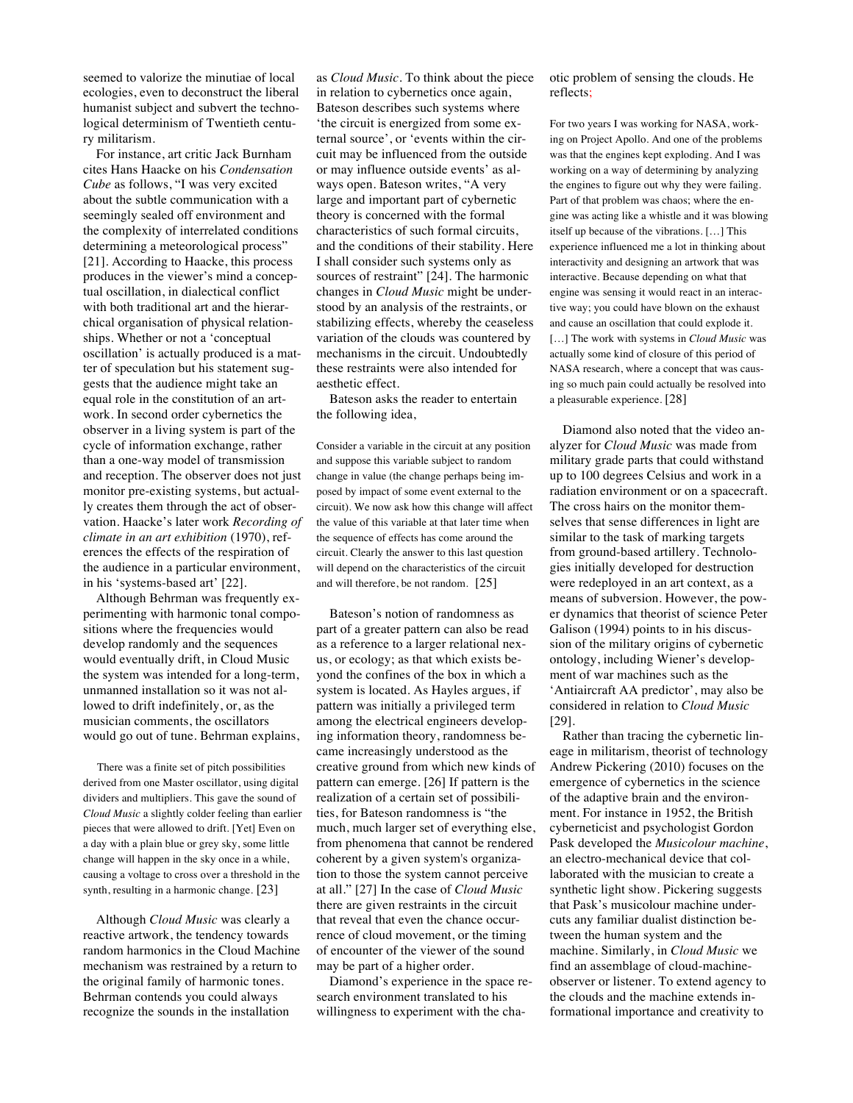seemed to valorize the minutiae of local ecologies, even to deconstruct the liberal humanist subject and subvert the technological determinism of Twentieth century militarism.

For instance, art critic Jack Burnham cites Hans Haacke on his *Condensation Cube* as follows, "I was very excited about the subtle communication with a seemingly sealed off environment and the complexity of interrelated conditions determining a meteorological process" [21]. According to Haacke, this process produces in the viewer's mind a conceptual oscillation, in dialectical conflict with both traditional art and the hierarchical organisation of physical relationships. Whether or not a 'conceptual oscillation' is actually produced is a matter of speculation but his statement suggests that the audience might take an equal role in the constitution of an artwork. In second order cybernetics the observer in a living system is part of the cycle of information exchange, rather than a one-way model of transmission and reception. The observer does not just monitor pre-existing systems, but actually creates them through the act of observation. Haacke's later work *Recording of climate in an art exhibition* (1970), references the effects of the respiration of the audience in a particular environment, in his 'systems-based art' [22].

Although Behrman was frequently experimenting with harmonic tonal compositions where the frequencies would develop randomly and the sequences would eventually drift, in Cloud Music the system was intended for a long-term, unmanned installation so it was not allowed to drift indefinitely, or, as the musician comments, the oscillators would go out of tune. Behrman explains,

There was a finite set of pitch possibilities derived from one Master oscillator, using digital dividers and multipliers. This gave the sound of *Cloud Music* a slightly colder feeling than earlier pieces that were allowed to drift. [Yet] Even on a day with a plain blue or grey sky, some little change will happen in the sky once in a while, causing a voltage to cross over a threshold in the synth, resulting in a harmonic change. [23]

Although *Cloud Music* was clearly a reactive artwork, the tendency towards random harmonics in the Cloud Machine mechanism was restrained by a return to the original family of harmonic tones. Behrman contends you could always recognize the sounds in the installation

as *Cloud Music*. To think about the piece in relation to cybernetics once again, Bateson describes such systems where 'the circuit is energized from some external source', or 'events within the circuit may be influenced from the outside or may influence outside events' as always open. Bateson writes, "A very large and important part of cybernetic theory is concerned with the formal characteristics of such formal circuits, and the conditions of their stability. Here I shall consider such systems only as sources of restraint" [24]. The harmonic changes in *Cloud Music* might be understood by an analysis of the restraints, or stabilizing effects, whereby the ceaseless variation of the clouds was countered by mechanisms in the circuit. Undoubtedly these restraints were also intended for aesthetic effect.

Bateson asks the reader to entertain the following idea,

Consider a variable in the circuit at any position and suppose this variable subject to random change in value (the change perhaps being imposed by impact of some event external to the circuit). We now ask how this change will affect the value of this variable at that later time when the sequence of effects has come around the circuit. Clearly the answer to this last question will depend on the characteristics of the circuit and will therefore, be not random. [25]

Bateson's notion of randomness as part of a greater pattern can also be read as a reference to a larger relational nexus, or ecology; as that which exists beyond the confines of the box in which a system is located. As Hayles argues, if pattern was initially a privileged term among the electrical engineers developing information theory, randomness became increasingly understood as the creative ground from which new kinds of pattern can emerge. [26] If pattern is the realization of a certain set of possibilities, for Bateson randomness is "the much, much larger set of everything else, from phenomena that cannot be rendered coherent by a given system's organization to those the system cannot perceive at all." [27] In the case of *Cloud Music* there are given restraints in the circuit that reveal that even the chance occurrence of cloud movement, or the timing of encounter of the viewer of the sound may be part of a higher order.

Diamond's experience in the space research environment translated to his willingness to experiment with the chaotic problem of sensing the clouds. He reflects;

For two years I was working for NASA, working on Project Apollo. And one of the problems was that the engines kept exploding. And I was working on a way of determining by analyzing the engines to figure out why they were failing. Part of that problem was chaos; where the engine was acting like a whistle and it was blowing itself up because of the vibrations. […] This experience influenced me a lot in thinking about interactivity and designing an artwork that was interactive. Because depending on what that engine was sensing it would react in an interactive way; you could have blown on the exhaust and cause an oscillation that could explode it. [...] The work with systems in *Cloud Music* was actually some kind of closure of this period of NASA research, where a concept that was causing so much pain could actually be resolved into a pleasurable experience. [28]

Diamond also noted that the video analyzer for *Cloud Music* was made from military grade parts that could withstand up to 100 degrees Celsius and work in a radiation environment or on a spacecraft. The cross hairs on the monitor themselves that sense differences in light are similar to the task of marking targets from ground-based artillery. Technologies initially developed for destruction were redeployed in an art context, as a means of subversion. However, the power dynamics that theorist of science Peter Galison (1994) points to in his discussion of the military origins of cybernetic ontology, including Wiener's development of war machines such as the 'Antiaircraft AA predictor', may also be considered in relation to *Cloud Music* [29].

Rather than tracing the cybernetic lineage in militarism, theorist of technology Andrew Pickering (2010) focuses on the emergence of cybernetics in the science of the adaptive brain and the environment. For instance in 1952, the British cyberneticist and psychologist Gordon Pask developed the *Musicolour machine*, an electro-mechanical device that collaborated with the musician to create a synthetic light show. Pickering suggests that Pask's musicolour machine undercuts any familiar dualist distinction between the human system and the machine. Similarly, in *Cloud Music* we find an assemblage of cloud-machineobserver or listener. To extend agency to the clouds and the machine extends informational importance and creativity to